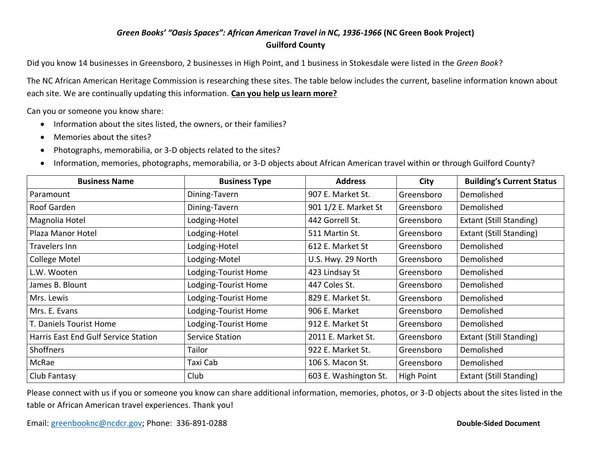## *Green Books' "Oasis Spaces": African American Travel in NC, 1936-1966* **(NC Green Book Project) Guilford County**

Did you know 14 businesses in Greensboro, 2 businesses in High Point, and 1 business in Stokesdale were listed in the *Green Book*?

The NC African American Heritage Commission is researching these sites. The table below includes the current, baseline information known about each site. We are continually updating this information. **Can you help us learn more?**

Can you or someone you know share:

- Information about the sites listed, the owners, or their families?
- Memories about the sites?
- Photographs, memorabilia, or 3-D objects related to the sites?
- Information, memories, photographs, memorabilia, or 3-D objects about African American travel within or through Guilford County?

| <b>Business Name</b>                 | <b>Business Type</b>   | <b>Address</b>        | City       | <b>Building's Current Status</b> |
|--------------------------------------|------------------------|-----------------------|------------|----------------------------------|
| Paramount                            | Dining-Tavern          | 907 E. Market St.     | Greensboro | Demolished                       |
| Roof Garden                          | Dining-Tavern          | 901 1/2 E. Market St  | Greensboro | Demolished                       |
| Magnolia Hotel                       | Lodging-Hotel          | 442 Gorrell St.       | Greensboro | <b>Extant (Still Standing)</b>   |
| Plaza Manor Hotel                    | Lodging-Hotel          | 511 Martin St.        | Greensboro | <b>Extant (Still Standing)</b>   |
| Travelers Inn                        | Lodging-Hotel          | 612 E. Market St      | Greensboro | Demolished                       |
| College Motel                        | Lodging-Motel          | U.S. Hwy. 29 North    | Greensboro | Demolished                       |
| L.W. Wooten                          | Lodging-Tourist Home   | 423 Lindsay St        | Greensboro | Demolished                       |
| James B. Blount                      | Lodging-Tourist Home   | 447 Coles St.         | Greensboro | Demolished                       |
| Mrs. Lewis                           | Lodging-Tourist Home   | 829 E. Market St.     | Greensboro | Demolished                       |
| Mrs. E. Evans                        | Lodging-Tourist Home   | 906 E. Market         | Greensboro | Demolished                       |
| T. Daniels Tourist Home              | Lodging-Tourist Home   | 912 E. Market St      | Greensboro | Demolished                       |
| Harris East End Gulf Service Station | <b>Service Station</b> | 2011 E. Market St.    | Greensboro | <b>Extant (Still Standing)</b>   |
| Shoffners                            | Tailor                 | 922 E. Market St.     | Greensboro | Demolished                       |
| McRae                                | Taxi Cab               | 106 S. Macon St.      | Greensboro | Demolished                       |
| Club Fantasy                         | Club                   | 603 E. Washington St. | High Point | <b>Extant (Still Standing)</b>   |

Please connect with us if you or someone you know can share additional information, memories, photos, or 3-D objects about the sites listed in the table or African American travel experiences. Thank you!